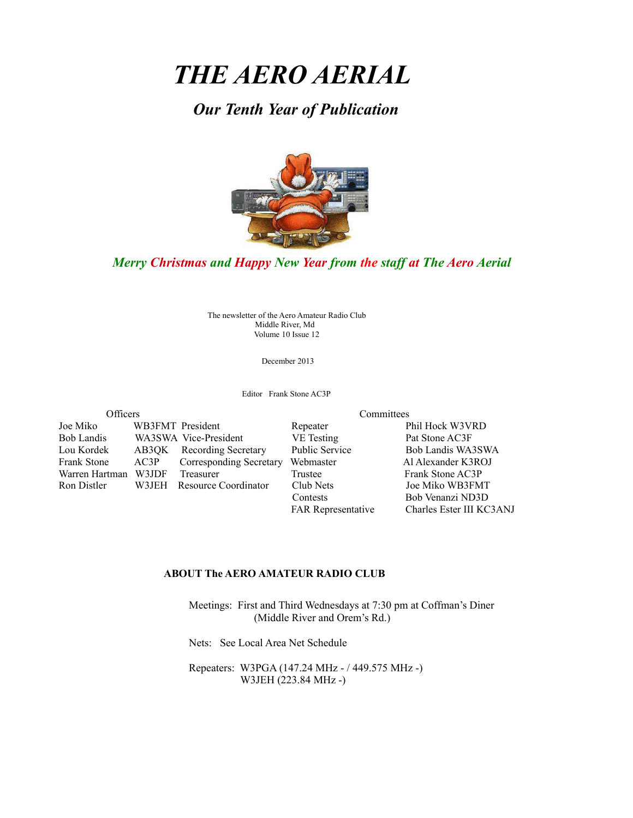# *THE AERO AERIAL*

*Our Tenth Year of Publication*



## *Merry Christmas and Happy New Year from the staff at The Aero Aerial*

The newsletter of the Aero Amateur Radio Club Middle River, Md Volume 10 Issue 12

December 2013

Editor Frank Stone AC3P

| Officers<br>WB3FMT President<br>Joe Miko<br>Bob Landis<br>WA3SWA Vice-President<br>Lou Kordek<br>AB3QK Recording Secretary |       | Committees                 |                           |  |                          |
|----------------------------------------------------------------------------------------------------------------------------|-------|----------------------------|---------------------------|--|--------------------------|
|                                                                                                                            |       |                            | Repeater                  |  | Phil Hock W3VRD          |
|                                                                                                                            |       |                            | <b>VE</b> Testing         |  | Pat Stone AC3F           |
|                                                                                                                            |       |                            | <b>Public Service</b>     |  | Bob Landis WA3SWA        |
| Frank Stone                                                                                                                | AC3P  | Corresponding Secretary    | Webmaster                 |  | Al Alexander K3ROJ       |
| Warren Hartman                                                                                                             | W3JDF | <b>Treasurer</b>           | Trustee                   |  | Frank Stone AC3P         |
| Ron Distler                                                                                                                |       | W3JEH Resource Coordinator | Club Nets                 |  | Joe Miko WB3FMT          |
|                                                                                                                            |       |                            | Contests                  |  | Bob Venanzi ND3D         |
|                                                                                                                            |       |                            | <b>FAR Representative</b> |  | Charles Ester III KC3ANJ |

#### **ABOUT The AERO AMATEUR RADIO CLUB**

 Meetings: First and Third Wednesdays at 7:30 pm at Coffman's Diner (Middle River and Orem's Rd.)

Nets: See Local Area Net Schedule

 Repeaters: W3PGA (147.24 MHz - / 449.575 MHz -) W3JEH (223.84 MHz -)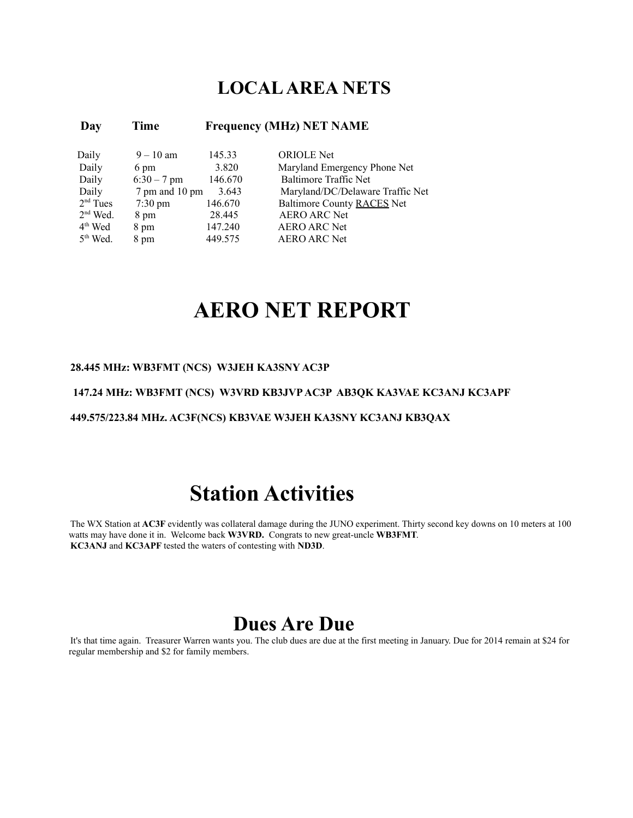## **LOCAL AREA NETS**

| Day                  | Time              | <b>Frequency (MHz) NET NAME</b> |                                  |  |  |
|----------------------|-------------------|---------------------------------|----------------------------------|--|--|
| Daily                | $9 - 10$ am       | 145.33                          | <b>ORIOLE</b> Net                |  |  |
| Daily                | 6 pm              | 3.820                           | Maryland Emergency Phone Net     |  |  |
| Daily                | $6:30 - 7$ pm     | 146.670                         | <b>Baltimore Traffic Net</b>     |  |  |
| Daily                | 7 pm and 10 pm    | 3.643                           | Maryland/DC/Delaware Traffic Net |  |  |
| $2nd$ Tues           | $7:30 \text{ pm}$ | 146.670                         | Baltimore County RACES Net       |  |  |
| $2nd$ Wed.           | 8 pm              | 28.445                          | <b>AERO ARC Net</b>              |  |  |
| $4th$ Wed            | 8 pm              | 147.240                         | <b>AERO ARC Net</b>              |  |  |
| 5 <sup>th</sup> Wed. | 8 pm              | 449.575                         | <b>AERO ARC Net</b>              |  |  |

# **AERO NET REPORT**

#### **28.445 MHz: WB3FMT (NCS) W3JEH KA3SNY AC3P**

#### **147.24 MHz: WB3FMT (NCS) W3VRD KB3JVP AC3P AB3QK KA3VAE KC3ANJ KC3APF**

#### **449.575/223.84 MHz. AC3F(NCS) KB3VAE W3JEH KA3SNY KC3ANJ KB3QAX**

# **Station Activities**

The WX Station at **AC3F** evidently was collateral damage during the JUNO experiment. Thirty second key downs on 10 meters at 100 watts may have done it in. Welcome back **W3VRD.** Congrats to new great-uncle **WB3FMT**. **KC3ANJ** and **KC3APF** tested the waters of contesting with **ND3D**.

## **Dues Are Due**

It's that time again. Treasurer Warren wants you. The club dues are due at the first meeting in January. Due for 2014 remain at \$24 for regular membership and \$2 for family members.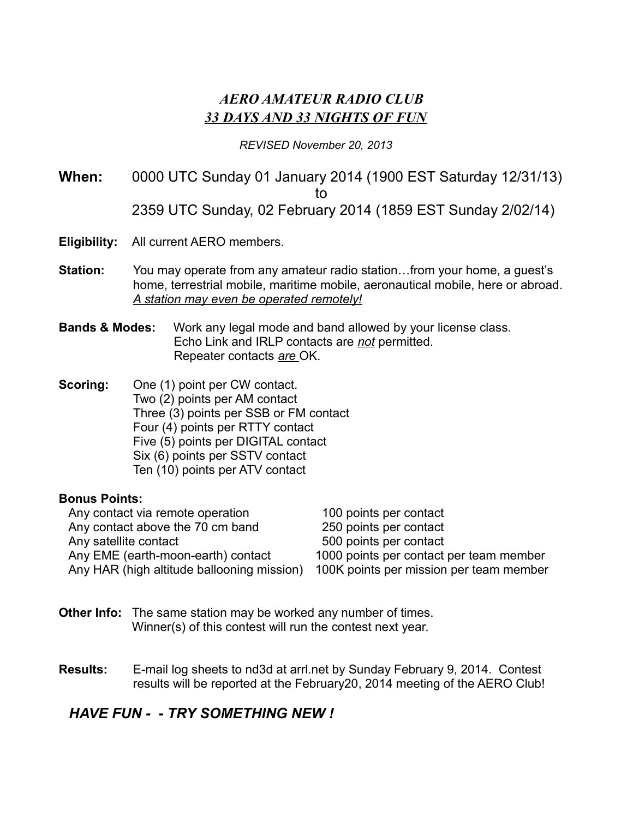## *AERO AMATEUR RADIO CLUB 33 DAYS AND 33 NIGHTS OF FUN*

#### *REVISED November 20, 2013*

**When:** 0000 UTC Sunday 01 January 2014 (1900 EST Saturday 12/31/13) to 2359 UTC Sunday, 02 February 2014 (1859 EST Sunday 2/02/14)

- **Eligibility:** All current AERO members.
- **Station:** You may operate from any amateur radio station…from your home, a guest's home, terrestrial mobile, maritime mobile, aeronautical mobile, here or abroad. *A station may even be operated remotely!*
- **Bands & Modes:** Work any legal mode and band allowed by your license class. Echo Link and IRLP contacts are *not* permitted. Repeater contacts *are* OK.
- **Scoring:** One (1) point per CW contact. Two (2) points per AM contact Three (3) points per SSB or FM contact Four (4) points per RTTY contact Five (5) points per DIGITAL contact Six (6) points per SSTV contact Ten (10) points per ATV contact

#### **Bonus Points:**

| Any contact via remote operation           | 100 points per contact                  |
|--------------------------------------------|-----------------------------------------|
| Any contact above the 70 cm band           | 250 points per contact                  |
| Any satellite contact                      | 500 points per contact                  |
| Any EME (earth-moon-earth) contact         | 1000 points per contact per team member |
| Any HAR (high altitude ballooning mission) | 100K points per mission per team member |

- **Other Info:** The same station may be worked any number of times. Winner(s) of this contest will run the contest next year.
- **Results:** E-mail log sheets to nd3d at arrl.net by Sunday February 9, 2014. Contest results will be reported at the February20, 2014 meeting of the AERO Club!

## *HAVE FUN - - TRY SOMETHING NEW !*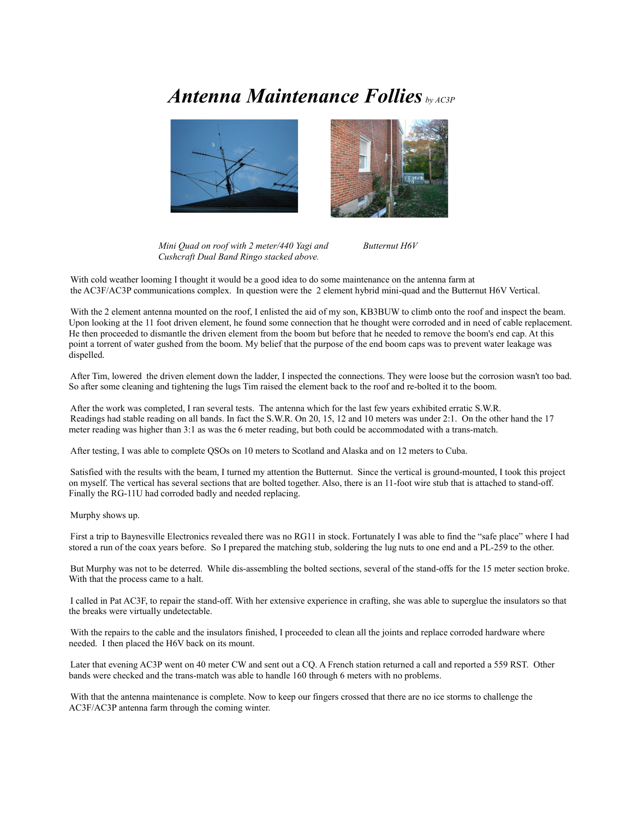## *Antenna Maintenance Follies by AC3P*





*Mini Quad on roof with 2 meter/440 Yagi and Butternut H6V Cushcraft Dual Band Ringo stacked above.* 

With cold weather looming I thought it would be a good idea to do some maintenance on the antenna farm at the AC3F/AC3P communications complex. In question were the 2 element hybrid mini-quad and the Butternut H6V Vertical.

With the 2 element antenna mounted on the roof, I enlisted the aid of my son, KB3BUW to climb onto the roof and inspect the beam. Upon looking at the 11 foot driven element, he found some connection that he thought were corroded and in need of cable replacement. He then proceeded to dismantle the driven element from the boom but before that he needed to remove the boom's end cap. At this point a torrent of water gushed from the boom. My belief that the purpose of the end boom caps was to prevent water leakage was dispelled.

After Tim, lowered the driven element down the ladder, I inspected the connections. They were loose but the corrosion wasn't too bad. So after some cleaning and tightening the lugs Tim raised the element back to the roof and re-bolted it to the boom.

After the work was completed, I ran several tests. The antenna which for the last few years exhibited erratic S.W.R. Readings had stable reading on all bands. In fact the S.W.R. On 20, 15, 12 and 10 meters was under 2:1. On the other hand the 17 meter reading was higher than 3:1 as was the 6 meter reading, but both could be accommodated with a trans-match.

After testing, I was able to complete QSOs on 10 meters to Scotland and Alaska and on 12 meters to Cuba.

Satisfied with the results with the beam, I turned my attention the Butternut. Since the vertical is ground-mounted, I took this project on myself. The vertical has several sections that are bolted together. Also, there is an 11-foot wire stub that is attached to stand-off. Finally the RG-11U had corroded badly and needed replacing.

Murphy shows up.

First a trip to Baynesville Electronics revealed there was no RG11 in stock. Fortunately I was able to find the "safe place" where I had stored a run of the coax years before. So I prepared the matching stub, soldering the lug nuts to one end and a PL-259 to the other.

But Murphy was not to be deterred. While dis-assembling the bolted sections, several of the stand-offs for the 15 meter section broke. With that the process came to a halt.

I called in Pat AC3F, to repair the stand-off. With her extensive experience in crafting, she was able to superglue the insulators so that the breaks were virtually undetectable.

With the repairs to the cable and the insulators finished, I proceeded to clean all the joints and replace corroded hardware where needed. I then placed the H6V back on its mount.

Later that evening AC3P went on 40 meter CW and sent out a CQ. A French station returned a call and reported a 559 RST. Other bands were checked and the trans-match was able to handle 160 through 6 meters with no problems.

With that the antenna maintenance is complete. Now to keep our fingers crossed that there are no ice storms to challenge the AC3F/AC3P antenna farm through the coming winter.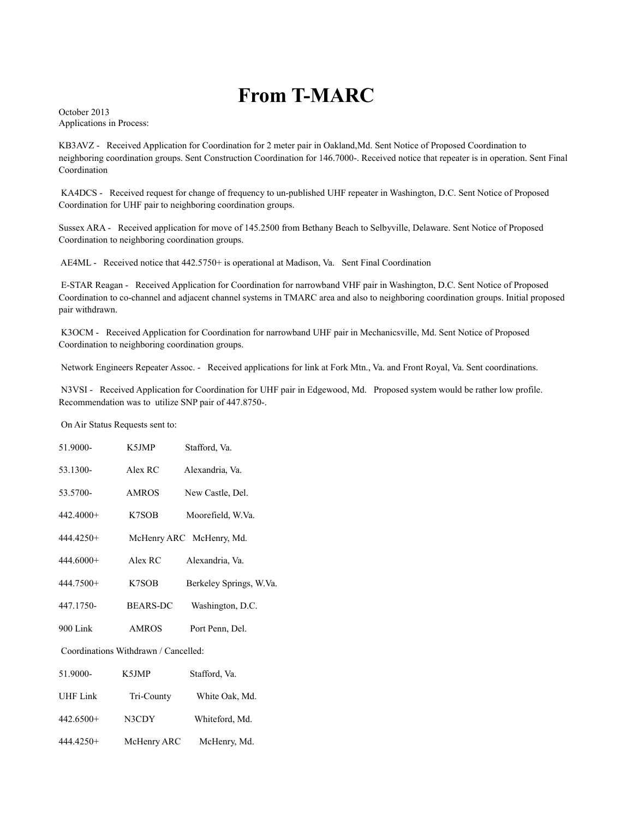## **From T-MARC**

October 2013 Applications in Process:

KB3AVZ - Received Application for Coordination for 2 meter pair in Oakland,Md. Sent Notice of Proposed Coordination to neighboring coordination groups. Sent Construction Coordination for 146.7000-. Received notice that repeater is in operation. Sent Final Coordination

 KA4DCS - Received request for change of frequency to un-published UHF repeater in Washington, D.C. Sent Notice of Proposed Coordination for UHF pair to neighboring coordination groups.

Sussex ARA - Received application for move of 145.2500 from Bethany Beach to Selbyville, Delaware. Sent Notice of Proposed Coordination to neighboring coordination groups.

AE4ML - Received notice that 442.5750+ is operational at Madison, Va. Sent Final Coordination

 E-STAR Reagan - Received Application for Coordination for narrowband VHF pair in Washington, D.C. Sent Notice of Proposed Coordination to co-channel and adjacent channel systems in TMARC area and also to neighboring coordination groups. Initial proposed pair withdrawn.

 K3OCM - Received Application for Coordination for narrowband UHF pair in Mechanicsville, Md. Sent Notice of Proposed Coordination to neighboring coordination groups.

Network Engineers Repeater Assoc. - Received applications for link at Fork Mtn., Va. and Front Royal, Va. Sent coordinations.

 N3VSI - Received Application for Coordination for UHF pair in Edgewood, Md. Proposed system would be rather low profile. Recommendation was to utilize SNP pair of 447.8750-.

On Air Status Requests sent to:

| 51.9000-    | K <sub>5</sub> JMP | Stafford, Va.            |
|-------------|--------------------|--------------------------|
| 53.1300-    | Alex RC            | Alexandria, Va.          |
| 53.5700-    | <b>AMROS</b>       | New Castle, Del.         |
| $442.4000+$ | K7SOB              | Moorefield, W.Va.        |
| $444.4250+$ |                    | McHenry ARC McHenry, Md. |
| $444.6000+$ | Alex RC            | Alexandria, Va.          |
| $444.7500+$ | K7SOB              | Berkeley Springs, W.Va.  |
| 447.1750-   | <b>BEARS-DC</b>    | Washington, D.C.         |
| $900$ Link  | <b>AMROS</b>       | Port Penn, Del.          |
|             |                    |                          |

Coordinations Withdrawn / Cancelled:

| 51.9000-  | K5JMP       | Stafford, Va.  |
|-----------|-------------|----------------|
| UHF Link  | Tri-County  | White Oak, Md. |
| 442.6500+ | N3CDY       | Whiteford, Md. |
| 444.4250+ | McHenry ARC | McHenry, Md.   |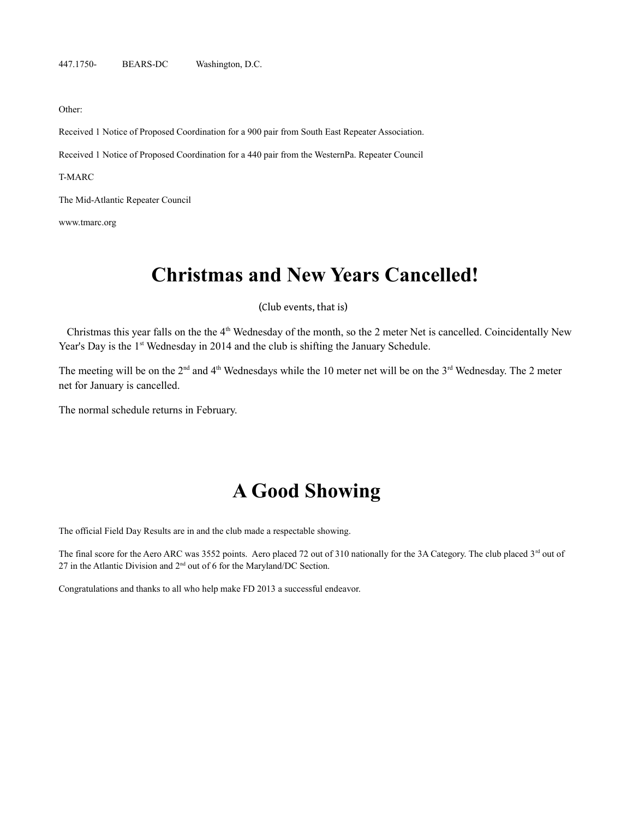Other:

Received 1 Notice of Proposed Coordination for a 900 pair from South East Repeater Association.

Received 1 Notice of Proposed Coordination for a 440 pair from the WesternPa. Repeater Council

T-MARC

The Mid-Atlantic Repeater Council

[www.tmarc.org](http://www.tmarc.org/)

## **Christmas and New Years Cancelled!**

(Club events, that is)

Christmas this year falls on the the 4<sup>th</sup> Wednesday of the month, so the 2 meter Net is cancelled. Coincidentally New Year's Day is the 1<sup>st</sup> Wednesday in 2014 and the club is shifting the January Schedule.

The meeting will be on the 2<sup>nd</sup> and 4<sup>th</sup> Wednesdays while the 10 meter net will be on the 3<sup>rd</sup> Wednesday. The 2 meter net for January is cancelled.

The normal schedule returns in February.

## **A Good Showing**

The official Field Day Results are in and the club made a respectable showing.

The final score for the Aero ARC was 3552 points. Aero placed 72 out of 310 nationally for the 3A Category. The club placed 3<sup>rd</sup> out of 27 in the Atlantic Division and  $2<sup>nd</sup>$  out of 6 for the Maryland/DC Section.

Congratulations and thanks to all who help make FD 2013 a successful endeavor.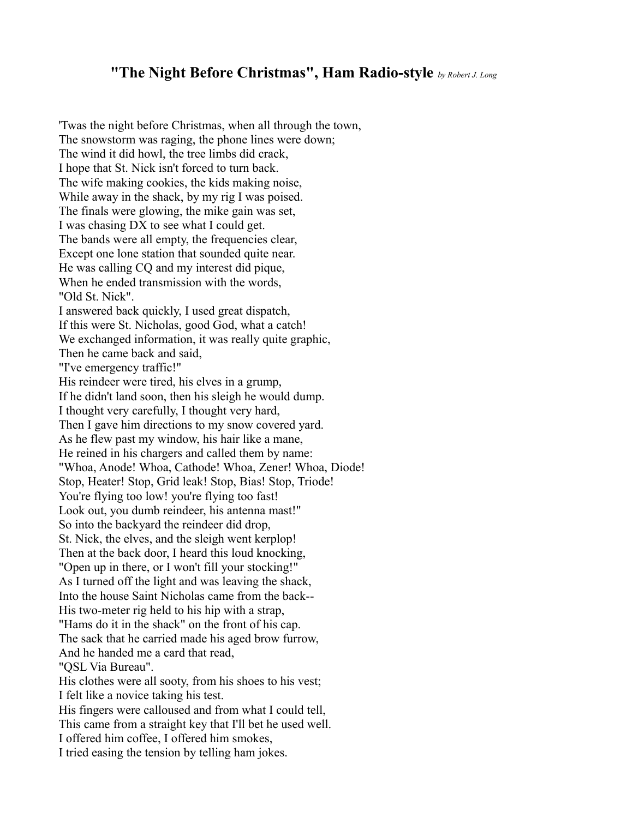## **"The Night Before Christmas", Ham Radio-style** *by Robert J. Long*

'Twas the night before Christmas, when all through the town, The snowstorm was raging, the phone lines were down; The wind it did howl, the tree limbs did crack, I hope that St. Nick isn't forced to turn back. The wife making cookies, the kids making noise, While away in the shack, by my rig I was poised. The finals were glowing, the mike gain was set, I was chasing DX to see what I could get. The bands were all empty, the frequencies clear, Except one lone station that sounded quite near. He was calling CQ and my interest did pique, When he ended transmission with the words, "Old St. Nick". I answered back quickly, I used great dispatch, If this were St. Nicholas, good God, what a catch! We exchanged information, it was really quite graphic, Then he came back and said, "I've emergency traffic!" His reindeer were tired, his elves in a grump, If he didn't land soon, then his sleigh he would dump. I thought very carefully, I thought very hard, Then I gave him directions to my snow covered yard. As he flew past my window, his hair like a mane, He reined in his chargers and called them by name: "Whoa, Anode! Whoa, Cathode! Whoa, Zener! Whoa, Diode! Stop, Heater! Stop, Grid leak! Stop, Bias! Stop, Triode! You're flying too low! you're flying too fast! Look out, you dumb reindeer, his antenna mast!" So into the backyard the reindeer did drop, St. Nick, the elves, and the sleigh went kerplop! Then at the back door, I heard this loud knocking, "Open up in there, or I won't fill your stocking!" As I turned off the light and was leaving the shack, Into the house Saint Nicholas came from the back-- His two-meter rig held to his hip with a strap, "Hams do it in the shack" on the front of his cap. The sack that he carried made his aged brow furrow, And he handed me a card that read, "QSL Via Bureau". His clothes were all sooty, from his shoes to his vest; I felt like a novice taking his test. His fingers were calloused and from what I could tell, This came from a straight key that I'll bet he used well. I offered him coffee, I offered him smokes, I tried easing the tension by telling ham jokes.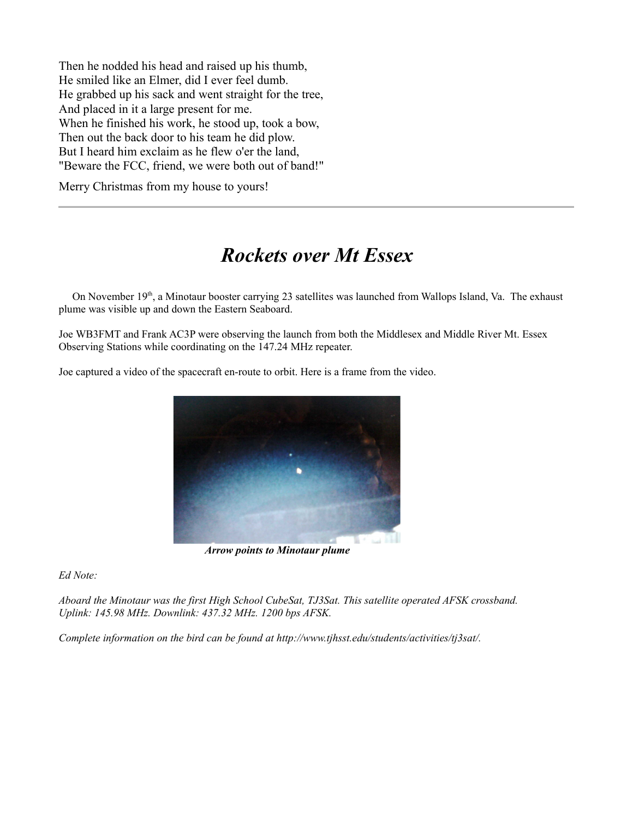Then he nodded his head and raised up his thumb, He smiled like an Elmer, did I ever feel dumb. He grabbed up his sack and went straight for the tree, And placed in it a large present for me. When he finished his work, he stood up, took a bow, Then out the back door to his team he did plow. But I heard him exclaim as he flew o'er the land, "Beware the FCC, friend, we were both out of band!"

Merry Christmas from my house to yours!

# *Rockets over Mt Essex*

On November 19<sup>th</sup>, a Minotaur booster carrying 23 satellites was launched from Wallops Island, Va. The exhaust plume was visible up and down the Eastern Seaboard.

Joe WB3FMT and Frank AC3P were observing the launch from both the Middlesex and Middle River Mt. Essex Observing Stations while coordinating on the 147.24 MHz repeater.

Joe captured a video of the spacecraft en-route to orbit. Here is a frame from the video.



*Arrow points to Minotaur plume*

*Ed Note:*

*Aboard the Minotaur was the first High School CubeSat, TJ3Sat. This satellite operated AFSK crossband. Uplink: 145.98 MHz. Downlink: 437.32 MHz. 1200 bps AFSK.*

*Complete information on the bird can be found at http://www.tjhsst.edu/students/activities/tj3sat/.*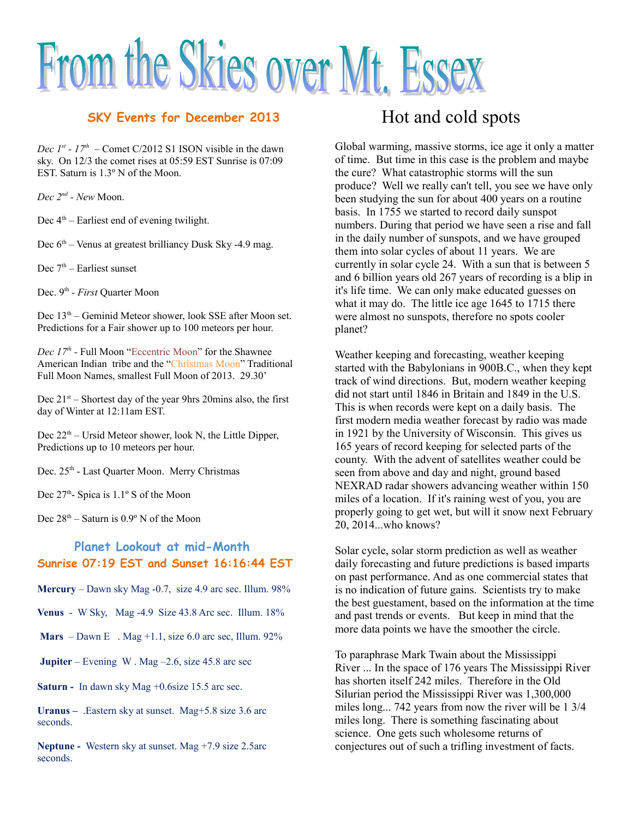# From the Skies over Mt. Essex

### **SKY Events for December 2013**

*Dec 1<sup>st</sup>* -  $17<sup>th</sup>$  – Comet C/2012 S1 ISON visible in the dawn sky. On 12/3 the comet rises at 05:59 EST Sunrise is 07:09 EST. Saturn is 1.3º N of the Moon.

*Dec 2nd - New* Moon.

Dec  $4<sup>th</sup>$  – Earliest end of evening twilight.

Dec  $6<sup>th</sup>$  – Venus at greatest brilliancy Dusk Sky -4.9 mag.

Dec  $7<sup>th</sup>$  – Earliest sunset

Dec. 9th *- First* Quarter Moon

Dec  $13<sup>th</sup>$  – Geminid Meteor shower, look SSE after Moon set. Predictions for a Fair shower up to 100 meteors per hour.

*Dec 17th -* Full Moon "Eccentric Moon" for the Shawnee American Indian tribe and the "Christmas Moon" Traditional Full Moon Names, smallest Full Moon of 2013. 29.30'

Dec  $21<sup>st</sup>$  – Shortest day of the year 9hrs 20mins also, the first day of Winter at 12:11am EST.

Dec  $22<sup>th</sup>$  – Ursid Meteor shower, look N, the Little Dipper, Predictions up to 10 meteors per hour.

Dec. 25<sup>th</sup> - Last Quarter Moon. Merry Christmas

Dec  $27<sup>th</sup>$ - Spica is  $1.1<sup>°</sup>$  S of the Moon

Dec  $28<sup>th</sup>$  – Saturn is  $0.9<sup>°</sup>$  N of the Moon

## **Planet Lookout at mid-Month Sunrise 07:19 EST and Sunset 16:16:44 EST**

**Mercury** – Dawn sky Mag -0.7, size 4.9 arc sec. Illum. 98%

**Venus** - W Sky, Mag -4.9 Size 43.8 Arc sec. Illum. 18%

**Mars**  $-$  Dawn E . Mag  $+1.1$ , size 6.0 arc sec, Illum. 92%

**Jupiter** – Evening W. Mag – 2.6, size 45.8 arc sec

**Saturn -** In dawn sky Mag +0.6size 15.5 arc sec.

**Uranus –** .Eastern sky at sunset. Mag+5.8 size 3.6 arc seconds.

**Neptune -** Western sky at sunset. Mag +7.9 size 2.5arc seconds.

## Hot and cold spots

Global warming, massive storms, ice age it only a matter of time. But time in this case is the problem and maybe the cure? What catastrophic storms will the sun produce? Well we really can't tell, you see we have only been studying the sun for about 400 years on a routine basis. In 1755 we started to record daily sunspot numbers. During that period we have seen a rise and fall in the daily number of sunspots, and we have grouped them into solar cycles of about 11 years. We are currently in solar cycle 24. With a sun that is between 5 and 6 billion years old 267 years of recording is a blip in it's life time. We can only make educated guesses on what it may do. The little ice age 1645 to 1715 there were almost no sunspots, therefore no spots cooler planet?

Weather keeping and forecasting, weather keeping started with the Babylonians in 900B.C., when they kept track of wind directions. But, modern weather keeping did not start until 1846 in Britain and 1849 in the U.S. This is when records were kept on a daily basis. The first modern media weather forecast by radio was made in 1921 by the University of Wisconsin. This gives us 165 years of record keeping for selected parts of the county. With the advent of satellites weather could be seen from above and day and night, ground based NEXRAD radar showers advancing weather within 150 miles of a location. If it's raining west of you, you are properly going to get wet, but will it snow next February 20, 2014...who knows?

Solar cycle, solar storm prediction as well as weather daily forecasting and future predictions is based imparts on past performance. And as one commercial states that is no indication of future gains. Scientists try to make the best guestament, based on the information at the time and past trends or events. But keep in mind that the more data points we have the smoother the circle.

To paraphrase Mark Twain about the Mississippi River ... In the space of 176 years The Mississippi River has shorten itself 242 miles. Therefore in the Old Silurian period the Mississippi River was 1,300,000 miles long... 742 years from now the river will be 1 3/4 miles long. There is something fascinating about science. One gets such wholesome returns of conjectures out of such a trifling investment of facts.